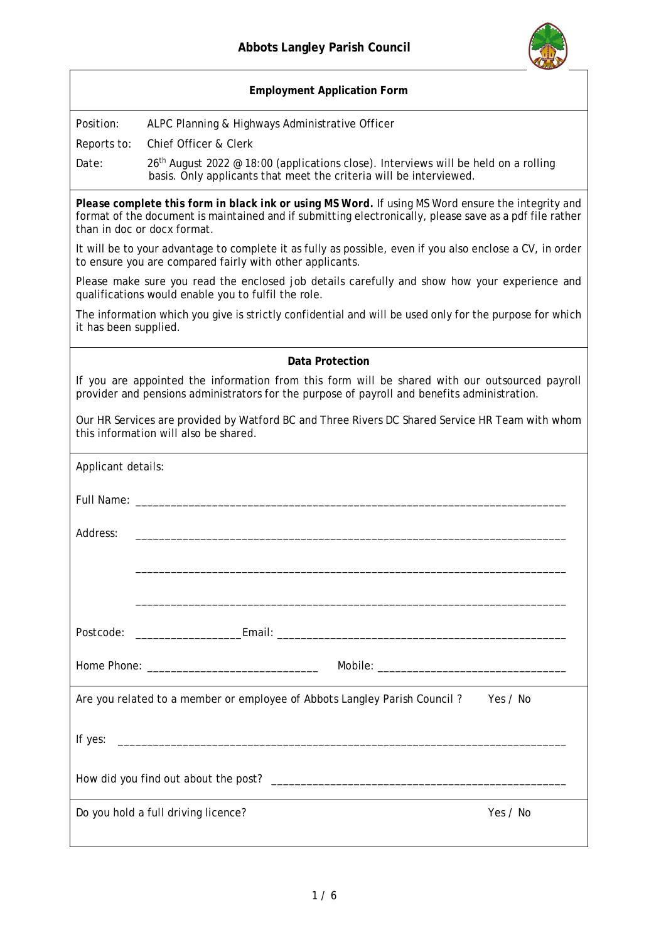

|                                                                                                                                                                                                                                              | <b>Employment Application Form</b>                                                                                                                                                             |  |
|----------------------------------------------------------------------------------------------------------------------------------------------------------------------------------------------------------------------------------------------|------------------------------------------------------------------------------------------------------------------------------------------------------------------------------------------------|--|
| Position:                                                                                                                                                                                                                                    | ALPC Planning & Highways Administrative Officer                                                                                                                                                |  |
| Reports to:                                                                                                                                                                                                                                  | Chief Officer & Clerk                                                                                                                                                                          |  |
| Date:                                                                                                                                                                                                                                        | 26 <sup>th</sup> August 2022 @ 18:00 (applications close). Interviews will be held on a rolling<br>basis. Only applicants that meet the criteria will be interviewed.                          |  |
| Please complete this form in black ink or using MS Word. If using MS Word ensure the integrity and<br>format of the document is maintained and if submitting electronically, please save as a pdf file rather<br>than in doc or docx format. |                                                                                                                                                                                                |  |
|                                                                                                                                                                                                                                              | It will be to your advantage to complete it as fully as possible, even if you also enclose a CV, in order<br>to ensure you are compared fairly with other applicants.                          |  |
| Please make sure you read the enclosed job details carefully and show how your experience and<br>qualifications would enable you to fulfil the role.                                                                                         |                                                                                                                                                                                                |  |
| it has been supplied.                                                                                                                                                                                                                        | The information which you give is strictly confidential and will be used only for the purpose for which                                                                                        |  |
|                                                                                                                                                                                                                                              | Data Protection                                                                                                                                                                                |  |
|                                                                                                                                                                                                                                              | If you are appointed the information from this form will be shared with our outsourced payroll<br>provider and pensions administrators for the purpose of payroll and benefits administration. |  |
|                                                                                                                                                                                                                                              | Our HR Services are provided by Watford BC and Three Rivers DC Shared Service HR Team with whom<br>this information will also be shared.                                                       |  |
| Applicant details:                                                                                                                                                                                                                           |                                                                                                                                                                                                |  |
| Full Name: ____________                                                                                                                                                                                                                      |                                                                                                                                                                                                |  |
| Address:                                                                                                                                                                                                                                     |                                                                                                                                                                                                |  |
|                                                                                                                                                                                                                                              |                                                                                                                                                                                                |  |
|                                                                                                                                                                                                                                              |                                                                                                                                                                                                |  |
| Postcode:                                                                                                                                                                                                                                    |                                                                                                                                                                                                |  |
|                                                                                                                                                                                                                                              |                                                                                                                                                                                                |  |
|                                                                                                                                                                                                                                              | Are you related to a member or employee of Abbots Langley Parish Council? Yes / No                                                                                                             |  |
|                                                                                                                                                                                                                                              |                                                                                                                                                                                                |  |
|                                                                                                                                                                                                                                              |                                                                                                                                                                                                |  |
|                                                                                                                                                                                                                                              | Yes / No<br>Do you hold a full driving licence?                                                                                                                                                |  |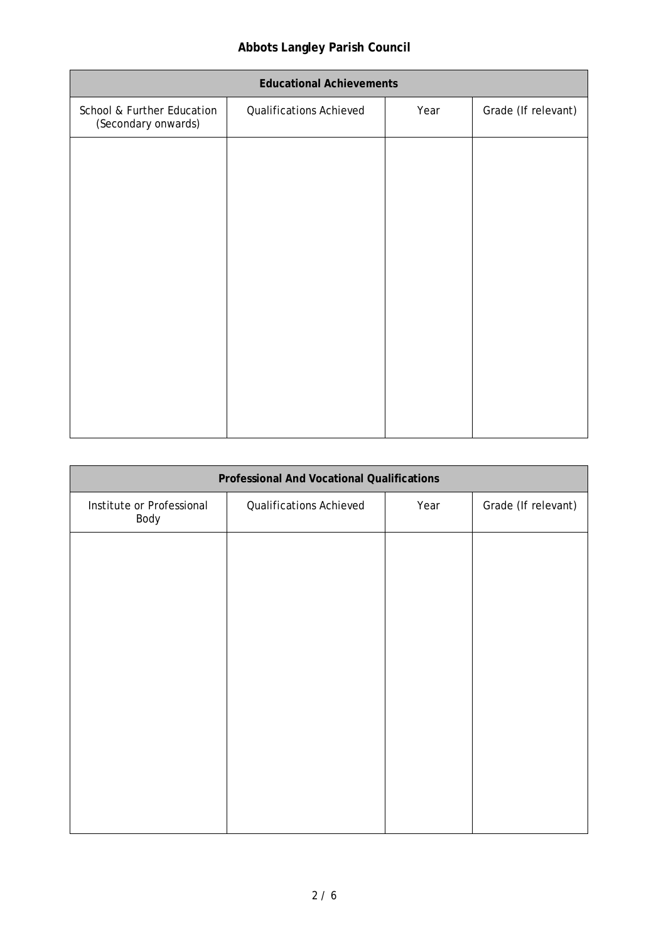## **Abbots Langley Parish Council**

| <b>Educational Achievements</b>                   |                                |      |                     |
|---------------------------------------------------|--------------------------------|------|---------------------|
| School & Further Education<br>(Secondary onwards) | <b>Qualifications Achieved</b> | Year | Grade (If relevant) |
|                                                   |                                |      |                     |
|                                                   |                                |      |                     |
|                                                   |                                |      |                     |
|                                                   |                                |      |                     |
|                                                   |                                |      |                     |
|                                                   |                                |      |                     |
|                                                   |                                |      |                     |
|                                                   |                                |      |                     |

| Professional And Vocational Qualifications |                         |      |                     |
|--------------------------------------------|-------------------------|------|---------------------|
| Institute or Professional<br>Body          | Qualifications Achieved | Year | Grade (If relevant) |
|                                            |                         |      |                     |
|                                            |                         |      |                     |
|                                            |                         |      |                     |
|                                            |                         |      |                     |
|                                            |                         |      |                     |
|                                            |                         |      |                     |
|                                            |                         |      |                     |
|                                            |                         |      |                     |
|                                            |                         |      |                     |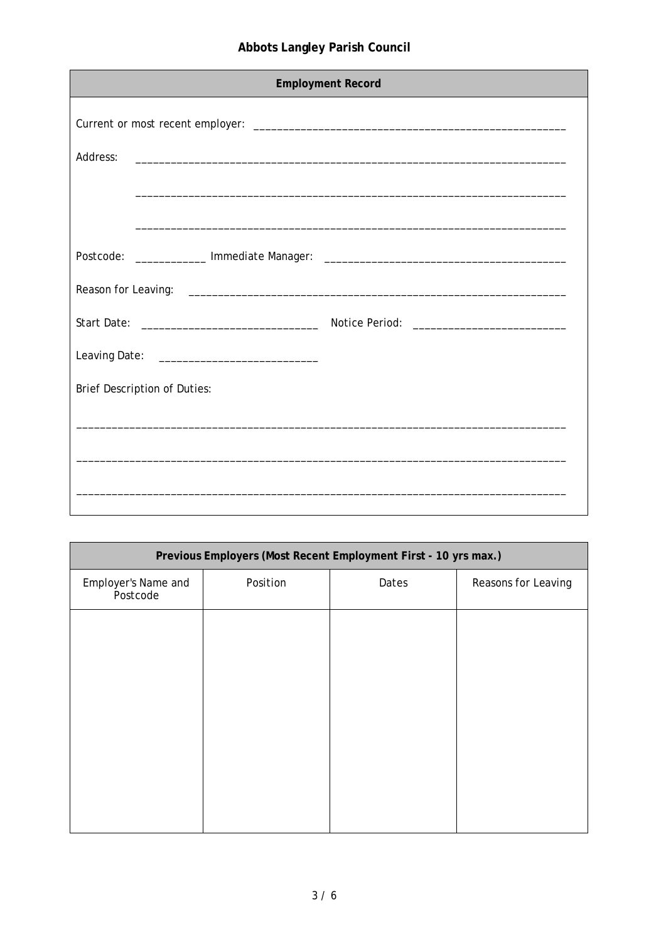## Abbots Langley Parish Council

| <b>Employment Record</b>     |  |  |
|------------------------------|--|--|
|                              |  |  |
| Address:                     |  |  |
|                              |  |  |
|                              |  |  |
|                              |  |  |
|                              |  |  |
|                              |  |  |
|                              |  |  |
| Brief Description of Duties: |  |  |
|                              |  |  |
|                              |  |  |
|                              |  |  |
|                              |  |  |

|                                 |          | Previous Employers (Most Recent Employment First - 10 yrs max.) |                     |
|---------------------------------|----------|-----------------------------------------------------------------|---------------------|
| Employer's Name and<br>Postcode | Position | Dates                                                           | Reasons for Leaving |
|                                 |          |                                                                 |                     |
|                                 |          |                                                                 |                     |
|                                 |          |                                                                 |                     |
|                                 |          |                                                                 |                     |
|                                 |          |                                                                 |                     |
|                                 |          |                                                                 |                     |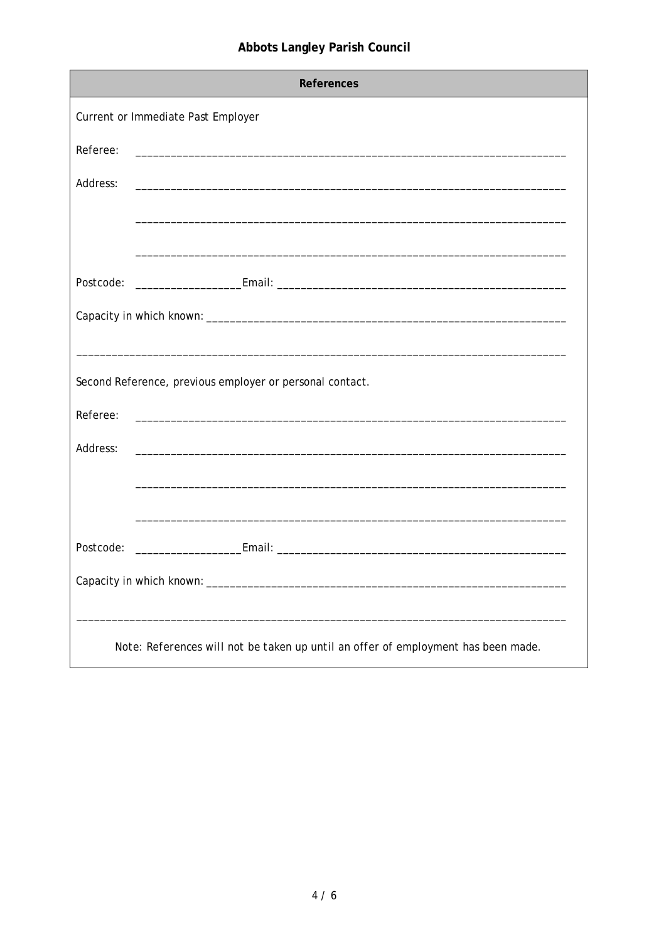| References |                                                                                   |  |
|------------|-----------------------------------------------------------------------------------|--|
|            | Current or Immediate Past Employer                                                |  |
| Referee:   |                                                                                   |  |
| Address:   |                                                                                   |  |
|            |                                                                                   |  |
|            |                                                                                   |  |
|            |                                                                                   |  |
|            |                                                                                   |  |
|            |                                                                                   |  |
|            | Second Reference, previous employer or personal contact.                          |  |
| Referee:   | <u> 1980 - Jan James Barnett, fransk politik (d. 1980)</u>                        |  |
| Address:   |                                                                                   |  |
|            |                                                                                   |  |
|            |                                                                                   |  |
| Postcode:  |                                                                                   |  |
|            |                                                                                   |  |
|            | Note: References will not be taken up until an offer of employment has been made. |  |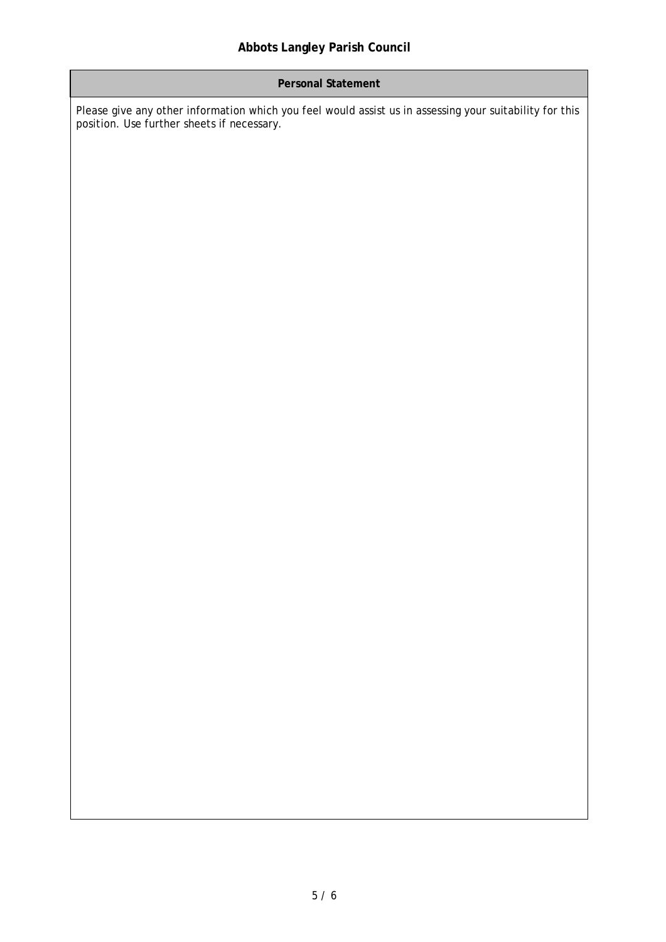## **Personal Statement**

Please give any other information which you feel would assist us in assessing your suitability for this position. Use further sheets if necessary.